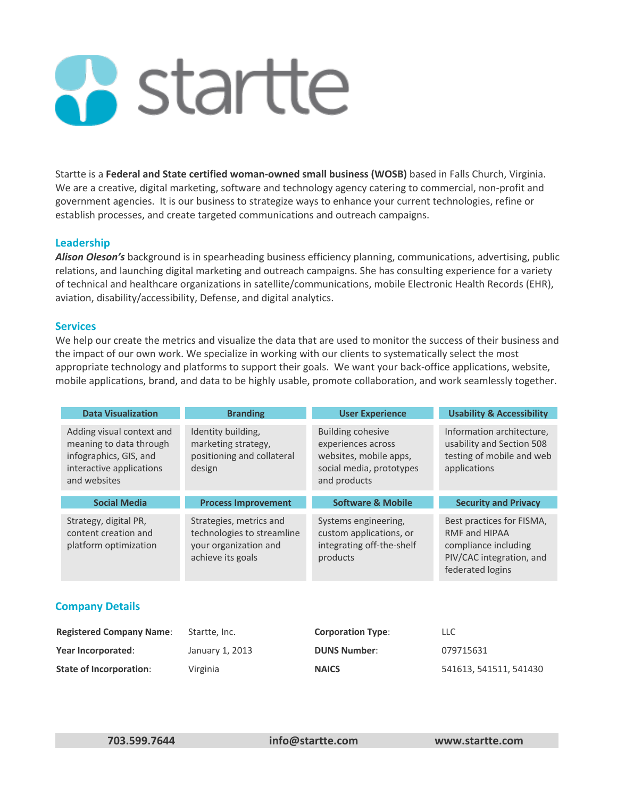# **R** startte

Startte is a **Federal and State certified woman-owned small business (WOSB)** based in Falls Church, Virginia. We are a creative, digital marketing, software and technology agency catering to commercial, non-profit and government agencies. It is our business to strategize ways to enhance your current technologies, refine or establish processes, and create targeted communications and outreach campaigns.

### **Leadership**

*Alison Oleson's* background is in spearheading business efficiency planning, communications, advertising, public relations, and launching digital marketing and outreach campaigns. She has consulting experience for a variety of technical and healthcare organizations in satellite/communications, mobile Electronic Health Records (EHR), aviation, disability/accessibility, Defense, and digital analytics.

#### **Services**

We help our create the metrics and visualize the data that are used to monitor the success of their business and the impact of our own work. We specialize in working with our clients to systematically select the most appropriate technology and platforms to support their goals. We want your back-office applications, website, mobile applications, brand, and data to be highly usable, promote collaboration, and work seamlessly together.

| <b>Data Visualization</b>                                                                                                  | <b>Branding</b>                                                                   | <b>User Experience</b>                                                                                               | <b>Usability &amp; Accessibility</b>                                                                |
|----------------------------------------------------------------------------------------------------------------------------|-----------------------------------------------------------------------------------|----------------------------------------------------------------------------------------------------------------------|-----------------------------------------------------------------------------------------------------|
| Adding visual context and<br>meaning to data through<br>infographics, GIS, and<br>interactive applications<br>and websites | Identity building,<br>marketing strategy,<br>positioning and collateral<br>design | <b>Building cohesive</b><br>experiences across<br>websites, mobile apps,<br>social media, prototypes<br>and products | Information architecture,<br>usability and Section 508<br>testing of mobile and web<br>applications |
|                                                                                                                            |                                                                                   |                                                                                                                      |                                                                                                     |
| <b>Social Media</b>                                                                                                        | <b>Process Improvement</b>                                                        | <b>Software &amp; Mobile</b>                                                                                         | <b>Security and Privacy</b>                                                                         |
| Strategy, digital PR,                                                                                                      | Strategies, metrics and                                                           | Systems engineering,                                                                                                 | Best practices for FISMA,                                                                           |

# **Company Details**

| <b>Registered Company Name:</b> | Startte, Inc.   | <b>Corporation Type:</b> | LLC                  |
|---------------------------------|-----------------|--------------------------|----------------------|
| Year Incorporated:              | January 1, 2013 | <b>DUNS Number:</b>      | 079715631            |
| <b>State of Incorporation:</b>  | Virginia        | <b>NAICS</b>             | 541613.541511.541430 |